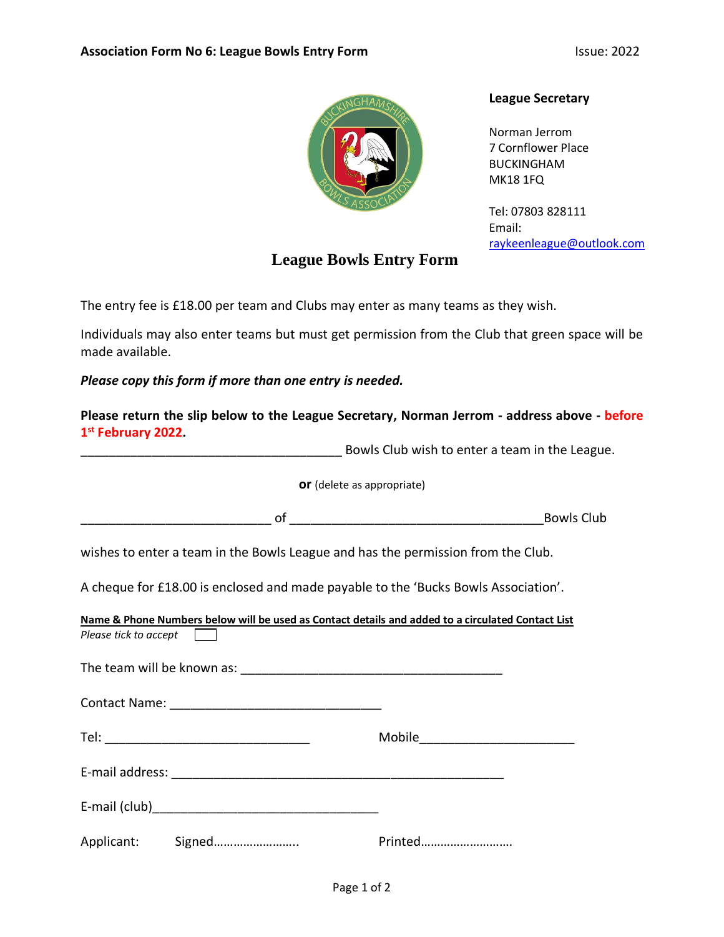

## **League Bowls Entry Form**

## **League Secretary**

Norman Jerrom 7 Cornflower Place BUCKINGHAM MK18 1FQ

Tel: 07803 828111 Email: [raykeenleague@outlook.com](mailto:raykeenleague@outlook.com)

The entry fee is £18.00 per team and Clubs may enter as many teams as they wish.

Individuals may also enter teams but must get permission from the Club that green space will be made available.

*Please copy this form if more than one entry is needed.*

| 1 <sup>st</sup> February 2022. | Please return the slip below to the League Secretary, Norman Jerrom - address above - before      |                   |
|--------------------------------|---------------------------------------------------------------------------------------------------|-------------------|
|                                | <b>EXAMPLE 2018</b> Bowls Club wish to enter a team in the League.                                |                   |
|                                | or (delete as appropriate)                                                                        |                   |
|                                |                                                                                                   | <b>Bowls Club</b> |
|                                | wishes to enter a team in the Bowls League and has the permission from the Club.                  |                   |
|                                | A cheque for £18.00 is enclosed and made payable to the 'Bucks Bowls Association'.                |                   |
| Please tick to accept          | Name & Phone Numbers below will be used as Contact details and added to a circulated Contact List |                   |
|                                |                                                                                                   |                   |
|                                |                                                                                                   |                   |
|                                |                                                                                                   |                   |
|                                |                                                                                                   |                   |
|                                |                                                                                                   |                   |
| Applicant: Signed              | Printed                                                                                           |                   |